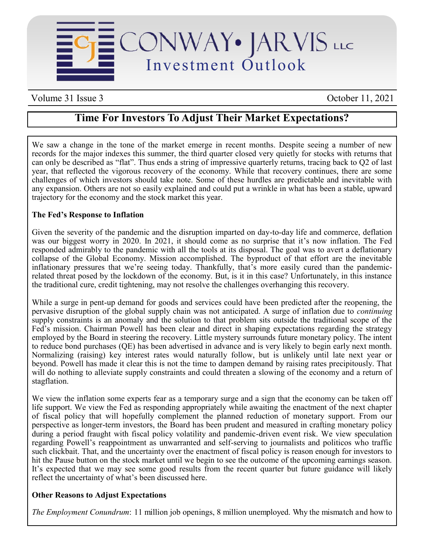

Volume 31 Issue 3 October 11, 2021

## **Time For Investors To Adjust Their Market Expectations?**

We saw a change in the tone of the market emerge in recent months. Despite seeing a number of new records for the major indexes this summer, the third quarter closed very quietly for stocks with returns that can only be described as "flat". Thus ends a string of impressive quarterly returns, tracing back to Q2 of last year, that reflected the vigorous recovery of the economy. While that recovery continues, there are some challenges of which investors should take note. Some of these hurdles are predictable and inevitable with any expansion. Others are not so easily explained and could put a wrinkle in what has been a stable, upward trajectory for the economy and the stock market this year.

## **The Fed's Response to Inflation**

Given the severity of the pandemic and the disruption imparted on day-to-day life and commerce, deflation was our biggest worry in 2020. In 2021, it should come as no surprise that it's now inflation. The Fed responded admirably to the pandemic with all the tools at its disposal. The goal was to avert a deflationary collapse of the Global Economy. Mission accomplished. The byproduct of that effort are the inevitable inflationary pressures that we're seeing today. Thankfully, that's more easily cured than the pandemicrelated threat posed by the lockdown of the economy. But, is it in this case? Unfortunately, in this instance the traditional cure, credit tightening, may not resolve the challenges overhanging this recovery.

While a surge in pent-up demand for goods and services could have been predicted after the reopening, the pervasive disruption of the global supply chain was not anticipated. A surge of inflation due to *continuing* supply constraints is an anomaly and the solution to that problem sits outside the traditional scope of the Fed's mission. Chairman Powell has been clear and direct in shaping expectations regarding the strategy employed by the Board in steering the recovery. Little mystery surrounds future monetary policy. The intent to reduce bond purchases (QE) has been advertised in advance and is very likely to begin early next month. Normalizing (raising) key interest rates would naturally follow, but is unlikely until late next year or beyond. Powell has made it clear this is not the time to dampen demand by raising rates precipitously. That will do nothing to alleviate supply constraints and could threaten a slowing of the economy and a return of stagflation.

We view the inflation some experts fear as a temporary surge and a sign that the economy can be taken off life support. We view the Fed as responding appropriately while awaiting the enactment of the next chapter of fiscal policy that will hopefully complement the planned reduction of monetary support. From our perspective as longer-term investors, the Board has been prudent and measured in crafting monetary policy during a period fraught with fiscal policy volatility and pandemic-driven event risk. We view speculation regarding Powell's reappointment as unwarranted and self-serving to journalists and politicos who traffic such clickbait. That, and the uncertainty over the enactment of fiscal policy is reason enough for investors to hit the Pause button on the stock market until we begin to see the outcome of the upcoming earnings season. It's expected that we may see some good results from the recent quarter but future guidance will likely reflect the uncertainty of what's been discussed here.

## **Other Reasons to Adjust Expectations**

*The Employment Conundrum*: 11 million job openings, 8 million unemployed. Why the mismatch and how to